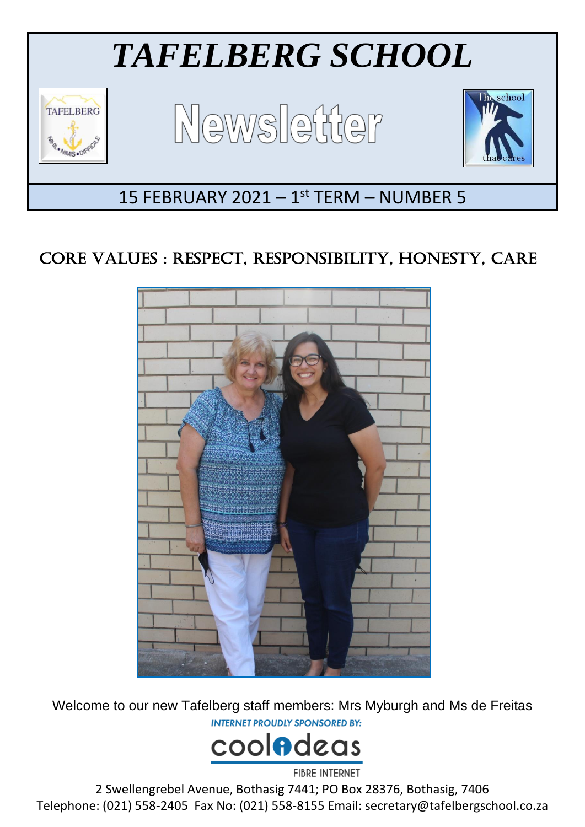

# CORE VALUES : RESPECT, RESPONSIBILITY, HONESTY, CARE



Welcome to our new Tafelberg staff members: Mrs Myburgh and Ms de Freitas**INTERNET PROUDLY SPONSORED BY:** 



2 Swellengrebel Avenue, Bothasig 7441; PO Box 28376, Bothasig, 7406 Telephone: (021) 558-2405 Fax No: (021) 558-8155 Email: secretary@tafelbergschool.co.za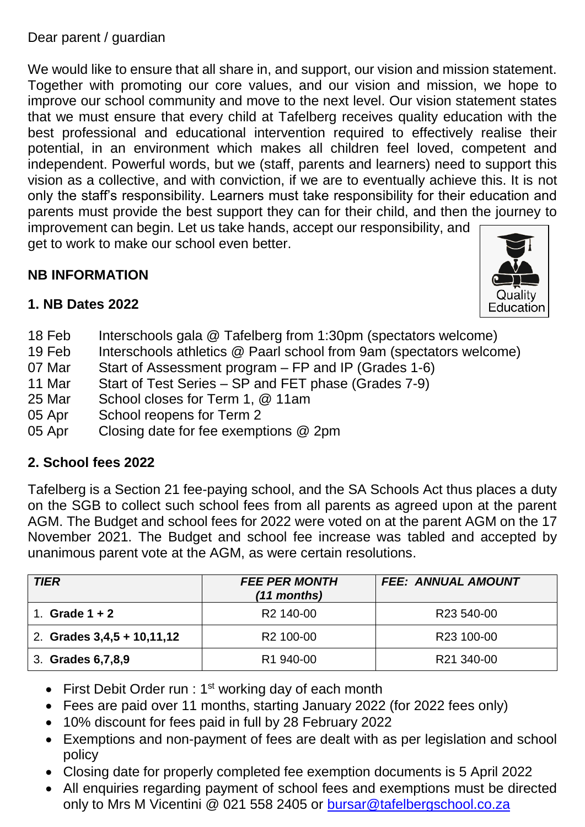Dear parent / guardian

We would like to ensure that all share in, and support, our vision and mission statement. Together with promoting our core values, and our vision and mission, we hope to improve our school community and move to the next level. Our vision statement states that we must ensure that every child at Tafelberg receives quality education with the best professional and educational intervention required to effectively realise their potential, in an environment which makes all children feel loved, competent and independent. Powerful words, but we (staff, parents and learners) need to support this vision as a collective, and with conviction, if we are to eventually achieve this. It is not only the staff's responsibility. Learners must take responsibility for their education and parents must provide the best support they can for their child, and then the journey to improvement can begin. Let us take hands, accept our responsibility, and

get to work to make our school even better.

# **NB INFORMATION**



#### **1. NB Dates 2022**

- 18 Feb Interschools gala @ Tafelberg from 1:30pm (spectators welcome)
- 19 Feb Interschools athletics @ Paarl school from 9am (spectators welcome)
- 07 Mar Start of Assessment program FP and IP (Grades 1-6)
- 11 Mar Start of Test Series SP and FET phase (Grades 7-9)
- 25 Mar School closes for Term 1, @ 11am
- 05 Apr School reopens for Term 2
- 05 Apr Closing date for fee exemptions @ 2pm

#### **2. School fees 2022**

Tafelberg is a Section 21 fee-paying school, and the SA Schools Act thus places a duty on the SGB to collect such school fees from all parents as agreed upon at the parent AGM. The Budget and school fees for 2022 were voted on at the parent AGM on the 17 November 2021. The Budget and school fee increase was tabled and accepted by unanimous parent vote at the AGM, as were certain resolutions.

| <b>TIER</b>                  | <b>FEE PER MONTH</b><br>$(11$ months) | <b>FEE: ANNUAL AMOUNT</b> |
|------------------------------|---------------------------------------|---------------------------|
| Grade $1 + 2$                | R <sub>2</sub> 140-00                 | R23 540-00                |
| 2. Grades $3,4,5 + 10,11,12$ | R <sub>2</sub> 100-00                 | R23 100-00                |
| 3. Grades 6, 7, 8, 9         | R <sub>1</sub> 940-00                 | R21 340-00                |

- First Debit Order run :  $1<sup>st</sup>$  working day of each month
- Fees are paid over 11 months, starting January 2022 (for 2022 fees only)
- 10% discount for fees paid in full by 28 February 2022
- Exemptions and non-payment of fees are dealt with as per legislation and school policy
- Closing date for properly completed fee exemption documents is 5 April 2022
- All enquiries regarding payment of school fees and exemptions must be directed only to Mrs M Vicentini @ 021 558 2405 or [bursar@tafelbergschool.co.za](mailto:bursar@tafelbergschool.co.za)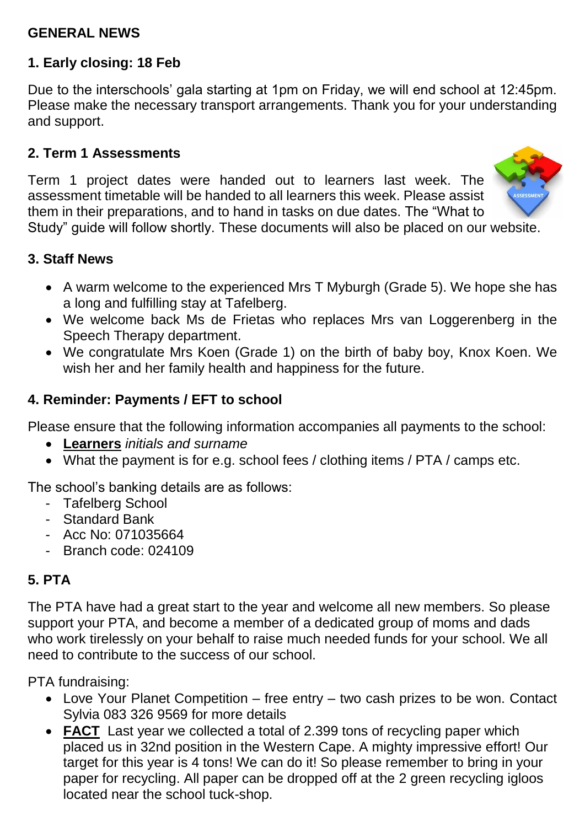#### **GENERAL NEWS**

# **1. Early closing: 18 Feb**

Due to the interschools' gala starting at 1pm on Friday, we will end school at 12:45pm. Please make the necessary transport arrangements. Thank you for your understanding and support.

#### **2. Term 1 Assessments**

Term 1 project dates were handed out to learners last week. The assessment timetable will be handed to all learners this week. Please assist them in their preparations, and to hand in tasks on due dates. The "What to



Study" guide will follow shortly. These documents will also be placed on our website.

#### **3. Staff News**

- A warm welcome to the experienced Mrs T Myburgh (Grade 5). We hope she has a long and fulfilling stay at Tafelberg.
- We welcome back Ms de Frietas who replaces Mrs van Loggerenberg in the Speech Therapy department.
- We congratulate Mrs Koen (Grade 1) on the birth of baby boy, Knox Koen. We wish her and her family health and happiness for the future.

#### **4. Reminder: Payments / EFT to school**

Please ensure that the following information accompanies all payments to the school:

- **Learners** *initials and surname*
- What the payment is for e.g. school fees / clothing items / PTA / camps etc.

The school's banking details are as follows:

- Tafelberg School
- Standard Bank
- Acc No: 071035664
- Branch code: 024109

#### **5. PTA**

The PTA have had a great start to the year and welcome all new members. So please support your PTA, and become a member of a dedicated group of moms and dads who work tirelessly on your behalf to raise much needed funds for your school. We all need to contribute to the success of our school.

PTA fundraising:

- Love Your Planet Competition free entry two cash prizes to be won. Contact Sylvia 083 326 9569 for more details
- **FACT** Last year we collected a total of 2.399 tons of recycling paper which placed us in 32nd position in the Western Cape. A mighty impressive effort! Our target for this year is 4 tons! We can do it! So please remember to bring in your paper for recycling. All paper can be dropped off at the 2 green recycling igloos located near the school tuck-shop.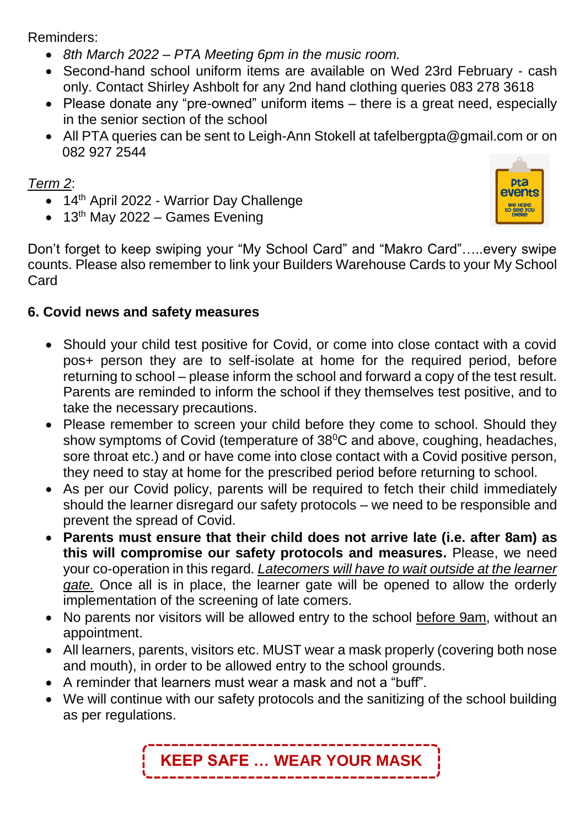Reminders:

- *8th March 2022 – PTA Meeting 6pm in the music room.*
- Second-hand school uniform items are available on Wed 23rd February cash only. Contact Shirley Ashbolt for any 2nd hand clothing queries 083 278 3618
- Please donate any "pre-owned" uniform items there is a great need, especially in the senior section of the school
- All PTA queries can be sent to Leigh-Ann Stokell at tafelbergpta@gmail.com or on 082 927 2544

### *Term 2*:

- 14<sup>th</sup> April 2022 Warrior Day Challenge
- $\bullet$  13<sup>th</sup> May 2022 Games Evening



Don't forget to keep swiping your "My School Card" and "Makro Card"…..every swipe counts. Please also remember to link your Builders Warehouse Cards to your My School Card

#### **6. Covid news and safety measures**

- Should your child test positive for Covid, or come into close contact with a covid pos+ person they are to self-isolate at home for the required period, before returning to school – please inform the school and forward a copy of the test result. Parents are reminded to inform the school if they themselves test positive, and to take the necessary precautions.
- Please remember to screen your child before they come to school. Should they show symptoms of Covid (temperature of 38<sup>°</sup>C and above, coughing, headaches, sore throat etc.) and or have come into close contact with a Covid positive person, they need to stay at home for the prescribed period before returning to school.
- As per our Covid policy, parents will be required to fetch their child immediately should the learner disregard our safety protocols – we need to be responsible and prevent the spread of Covid.
- **Parents must ensure that their child does not arrive late (i.e. after 8am) as this will compromise our safety protocols and measures.** Please, we need your co-operation in this regard. *Latecomers will have to wait outside at the learner gate.* Once all is in place, the learner gate will be opened to allow the orderly implementation of the screening of late comers.
- No parents nor visitors will be allowed entry to the school before 9am, without an appointment.
- All learners, parents, visitors etc. MUST wear a mask properly (covering both nose and mouth), in order to be allowed entry to the school grounds.
- A reminder that learners must wear a mask and not a "buff".
- We will continue with our safety protocols and the sanitizing of the school building as per regulations.